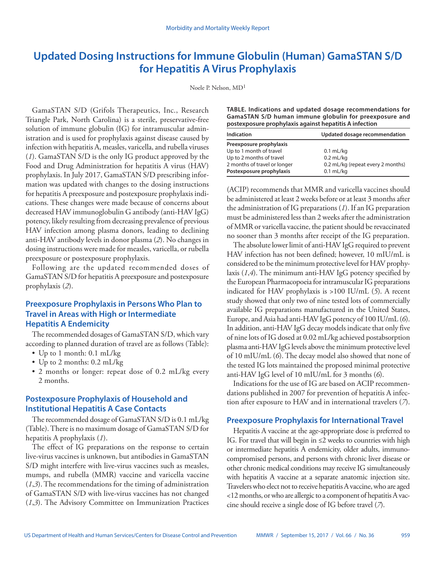# **Updated Dosing Instructions for Immune Globulin (Human) GamaSTAN S/D for Hepatitis A Virus Prophylaxis**

Noele P. Nelson, MD1

GamaSTAN S/D (Grifols Therapeutics, Inc., Research Triangle Park, North Carolina) is a sterile, preservative-free solution of immune globulin (IG) for intramuscular administration and is used for prophylaxis against disease caused by infection with hepatitis A, measles, varicella, and rubella viruses (*1*). GamaSTAN S/D is the only IG product approved by the Food and Drug Administration for hepatitis A virus (HAV) prophylaxis. In July 2017, GamaSTAN S/D prescribing information was updated with changes to the dosing instructions for hepatitis A preexposure and postexposure prophylaxis indications. These changes were made because of concerns about decreased HAV immunoglobulin G antibody (anti-HAV IgG) potency, likely resulting from decreasing prevalence of previous HAV infection among plasma donors, leading to declining anti-HAV antibody levels in donor plasma (*2*). No changes in dosing instructions were made for measles, varicella, or rubella preexposure or postexposure prophylaxis.

Following are the updated recommended doses of GamaSTAN S/D for hepatitis A preexposure and postexposure prophylaxis (*2*).

## **Preexposure Prophylaxis in Persons Who Plan to Travel in Areas with High or Intermediate Hepatitis A Endemicity**

The recommended dosages of GamaSTAN S/D, which vary according to planned duration of travel are as follows (Table):

- Up to 1 month: 0.1 mL/kg
- Up to 2 months: 0.2 mL/kg
- 2 months or longer: repeat dose of 0.2 mL/kg every 2 months.

## **Postexposure Prophylaxis of Household and Institutional Hepatitis A Case Contacts**

The recommended dosage of GamaSTAN S/D is 0.1 mL/kg (Table). There is no maximum dosage of GamaSTAN S/D for hepatitis A prophylaxis (*1*).

The effect of IG preparations on the response to certain live-virus vaccines is unknown, but antibodies in GamaSTAN S/D might interfere with live-virus vaccines such as measles, mumps, and rubella (MMR) vaccine and varicella vaccine (*1*,*3*). The recommendations for the timing of administration of GamaSTAN S/D with live-virus vaccines has not changed (*1*,*3*). The Advisory Committee on Immunization Practices **TABLE. Indications and updated dosage recommendations for GamaSTAN S/D human immune globulin for preexposure and postexposure prophylaxis against hepatitis A infection**

| <b>Indication</b>            | Updated dosage recommendation     |
|------------------------------|-----------------------------------|
| Preexposure prophylaxis      |                                   |
| Up to 1 month of travel      | $0.1$ mL/kg                       |
| Up to 2 months of travel     | $0.2$ mL/kg                       |
| 2 months of travel or longer | 0.2 mL/kg (repeat every 2 months) |
| Postexposure prophylaxis     | $0.1$ mL/kg                       |

(ACIP) recommends that MMR and varicella vaccines should be administered at least 2 weeks before or at least 3 months after the administration of IG preparations (*1*). If an IG preparation must be administered less than 2 weeks after the administration of MMR or varicella vaccine, the patient should be revaccinated no sooner than 3 months after receipt of the IG preparation.

The absolute lower limit of anti-HAV IgG required to prevent HAV infection has not been defined; however, 10 mIU/mL is considered to be the minimum protective level for HAV prophylaxis (*1*,*4*). The minimum anti-HAV IgG potency specified by the European Pharmacopoeia for intramuscular IG preparations indicated for HAV prophylaxis is >100 IU/mL (*5*). A recent study showed that only two of nine tested lots of commercially available IG preparations manufactured in the United States, Europe, and Asia had anti-HAV IgG potency of 100 IU/mL (*6*). In addition, anti-HAV IgG decay models indicate that only five of nine lots of IG dosed at 0.02 mL/kg achieved postabsorption plasma anti-HAV IgG levels above the minimum protective level of 10 mIU/mL (*6*). The decay model also showed that none of the tested IG lots maintained the proposed minimal protective anti-HAV IgG level of 10 mIU/mL for 3 months (*6*).

Indications for the use of IG are based on ACIP recommendations published in 2007 for prevention of hepatitis A infection after exposure to HAV and in international travelers (*7*).

#### **Preexposure Prophylaxis for International Travel**

Hepatitis A vaccine at the age-appropriate dose is preferred to IG. For travel that will begin in ≤2 weeks to countries with high or intermediate hepatitis A endemicity, older adults, immunocompromised persons, and persons with chronic liver disease or other chronic medical conditions may receive IG simultaneously with hepatitis A vaccine at a separate anatomic injection site. Travelers who elect not to receive hepatitis A vaccine, who are aged <12 months, or who are allergic to a component of hepatitis A vaccine should receive a single dose of IG before travel (*7*).